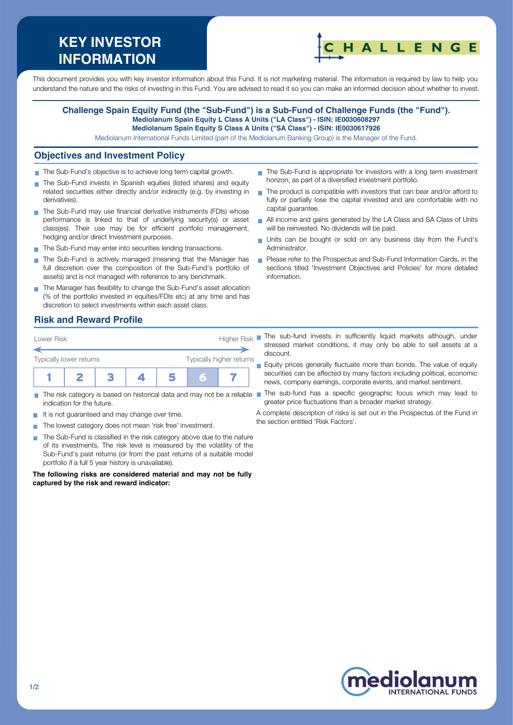# **KEY INVESTOR INFORMATION**



This document provides you with key investor information about this Fund. It is not marketing material. The information is required by law to help you understand the nature and the risks of investing in this Fund. You are advised to read it so you can make an informed decision about whether to invest.

#### **Challenge Spain Equity Fund (the "Sub-Fund") is a Sub-Fund of Challenge Funds (the "Fund"). Mediolanum Spain Equity L Class A Units ("LA Class") - ISIN: IE0030608297 Mediolanum Spain Equity S Class A Units ("SA Class") - ISIN: IE0030617926**

Mediolanum International Funds Limited (part of the Mediolanum Banking Group) is the Manager of the Fund.

#### **Objectives and Investment Policy**

- The Sub-Fund's objective is to achieve long term capital growth.
- The Sub-Fund invests in Spanish equities (listed shares) and equity related securities either directly and/or indirectly (e.g. by investing in derivatives).
- The Sub-Fund may use financial derivative instruments (FDIs) whose performance is linked to that of underlying security(s) or asset class(es). Their use may be for efficient portfolio management, hedging and/or direct Investment purposes.
- The Sub-Fund may enter into securities lending transactions.
- The Sub-Fund is actively managed (meaning that the Manager has full discretion over the composition of the Sub-Fund's portfolio of assets) and is not managed with reference to any benchmark.
- The Manager has flexibility to change the Sub-Fund's asset allocation (% of the portfolio invested in equities/FDIs etc) at any time and has discretion to select investments within each asset class.

### **Risk and Reward Profile**

| Lower Risk              |  |  | <b>Higher Risk</b>       |   |  |  |
|-------------------------|--|--|--------------------------|---|--|--|
| Typically lower returns |  |  | Typically higher returns |   |  |  |
|                         |  |  |                          | Ξ |  |  |

- $\sim$ indication for the future.
- It is not guaranteed and may change over time.
- The lowest category does not mean 'risk free' investment.  $\sim$
- The Sub-Fund is classified in the risk category above due to the nature of its investments. The risk level is measured by the volatility of the Sub-Fund's past returns (or from the past returns of a suitable model portfolio if a full 5 year history is unavailable).

**The following risks are considered material and may not be fully captured by the risk and reward indicator:**

- The Sub-Fund is appropriate for investors with a long term investment horizon, as part of a diversified investment portfolio.
- The product is compatible with investors that can bear and/or afford to fully or partially lose the capital invested and are comfortable with no capital guarantee.
- All income and gains generated by the LA Class and SA Class of Units will be reinvested. No dividends will be paid.
- Units can be bought or sold on any business day from the Fund's Administrator.
- Please refer to the Prospectus and Sub-Fund Information Cards, in the sections titled 'Investment Objectives and Policies' for more detailed information.
- The sub-fund invests in sufficiently liquid markets although, under stressed market conditions, it may only be able to sell assets at a discount.

Equity prices generally fluctuate more than bonds. The value of equity securities can be affected by many factors including political, economic news, company earnings, corporate events, and market sentiment.

The risk category is based on historical data and may not be a reliable The sub-fund has a specific geographic focus which may lead to greater price fluctuations than a broader market strategy.

> A complete description of risks is set out in the Prospectus of the Fund in the section entitled 'Risk Factors'.